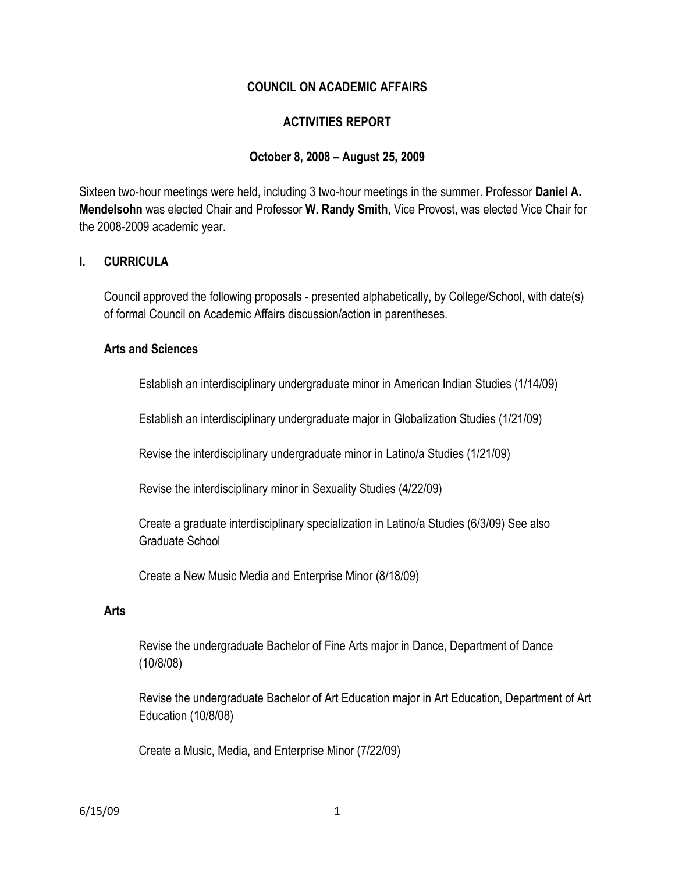### **COUNCIL ON ACADEMIC AFFAIRS**

### **ACTIVITIES REPORT**

#### **October 8, 2008 – August 25, 2009**

Sixteen two-hour meetings were held, including 3 two-hour meetings in the summer. Professor **Daniel A. Mendelsohn** was elected Chair and Professor **W. Randy Smith**, Vice Provost, was elected Vice Chair for the 2008-2009 academic year.

### **I. CURRICULA**

Council approved the following proposals - presented alphabetically, by College/School, with date(s) of formal Council on Academic Affairs discussion/action in parentheses.

#### **Arts and Sciences**

Establish an interdisciplinary undergraduate minor in American Indian Studies (1/14/09)

Establish an interdisciplinary undergraduate major in Globalization Studies (1/21/09)

Revise the interdisciplinary undergraduate minor in Latino/a Studies (1/21/09)

Revise the interdisciplinary minor in Sexuality Studies (4/22/09)

Create a graduate interdisciplinary specialization in Latino/a Studies (6/3/09) See also Graduate School

Create a New Music Media and Enterprise Minor (8/18/09)

#### **Arts**

Revise the undergraduate Bachelor of Fine Arts major in Dance, Department of Dance (10/8/08)

Revise the undergraduate Bachelor of Art Education major in Art Education, Department of Art Education (10/8/08)

Create a Music, Media, and Enterprise Minor (7/22/09)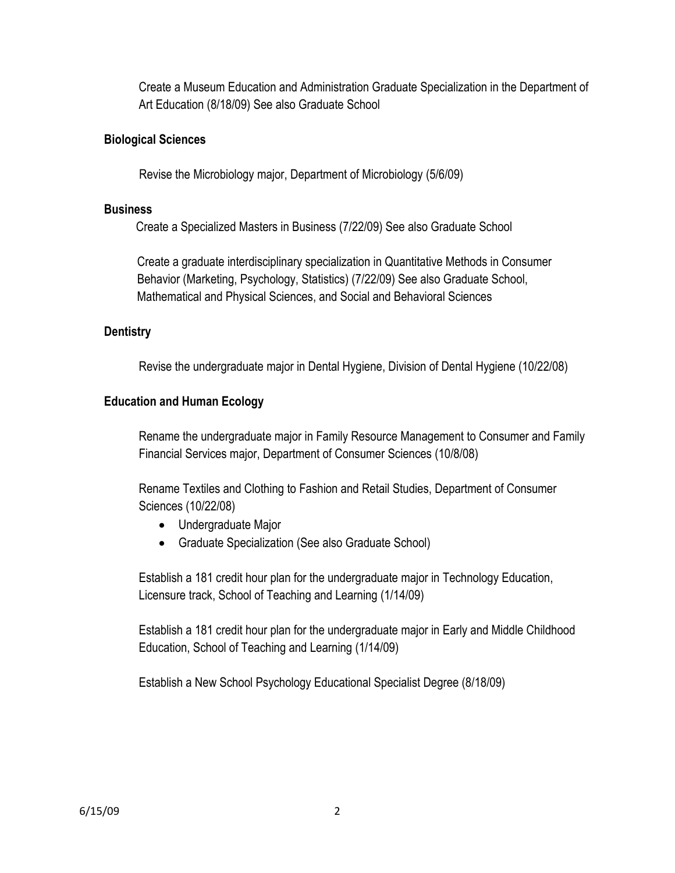Create a Museum Education and Administration Graduate Specialization in the Department of Art Education (8/18/09) See also Graduate School

# **Biological Sciences**

Revise the Microbiology major, Department of Microbiology (5/6/09)

### **Business**

Create a Specialized Masters in Business (7/22/09) See also Graduate School

Create a graduate interdisciplinary specialization in Quantitative Methods in Consumer Behavior (Marketing, Psychology, Statistics) (7/22/09) See also Graduate School, Mathematical and Physical Sciences, and Social and Behavioral Sciences

# **Dentistry**

Revise the undergraduate major in Dental Hygiene, Division of Dental Hygiene (10/22/08)

# **Education and Human Ecology**

Rename the undergraduate major in Family Resource Management to Consumer and Family Financial Services major, Department of Consumer Sciences (10/8/08)

Rename Textiles and Clothing to Fashion and Retail Studies, Department of Consumer Sciences (10/22/08)

- Undergraduate Major
- Graduate Specialization (See also Graduate School)

Establish a 181 credit hour plan for the undergraduate major in Technology Education, Licensure track, School of Teaching and Learning (1/14/09)

Establish a 181 credit hour plan for the undergraduate major in Early and Middle Childhood Education, School of Teaching and Learning (1/14/09)

Establish a New School Psychology Educational Specialist Degree (8/18/09)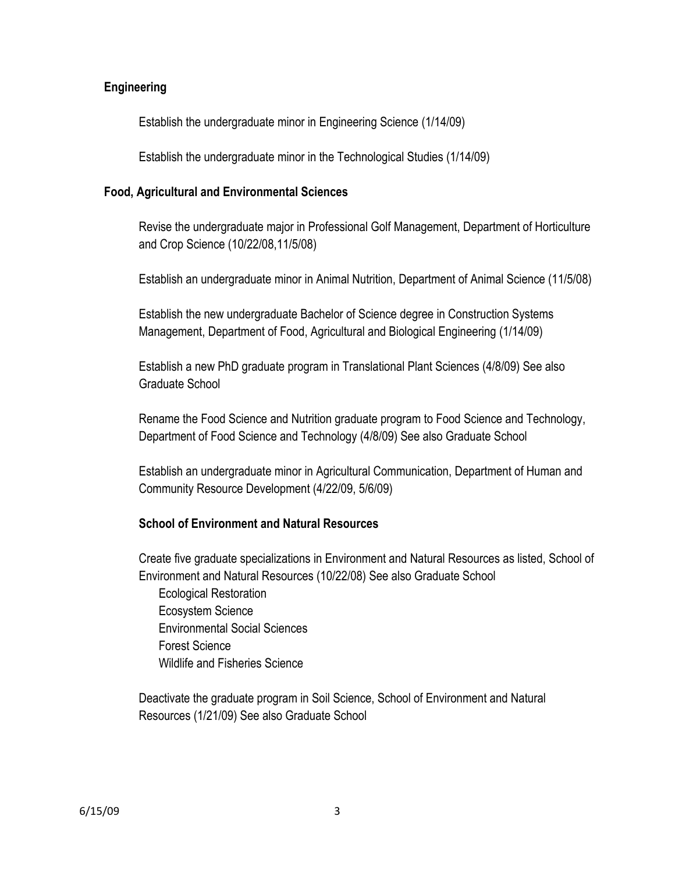### **Engineering**

Establish the undergraduate minor in Engineering Science (1/14/09)

Establish the undergraduate minor in the Technological Studies (1/14/09)

#### **Food, Agricultural and Environmental Sciences**

Revise the undergraduate major in Professional Golf Management, Department of Horticulture and Crop Science (10/22/08,11/5/08)

Establish an undergraduate minor in Animal Nutrition, Department of Animal Science (11/5/08)

Establish the new undergraduate Bachelor of Science degree in Construction Systems Management, Department of Food, Agricultural and Biological Engineering (1/14/09)

Establish a new PhD graduate program in Translational Plant Sciences (4/8/09) See also Graduate School

Rename the Food Science and Nutrition graduate program to Food Science and Technology, Department of Food Science and Technology (4/8/09) See also Graduate School

Establish an undergraduate minor in Agricultural Communication, Department of Human and Community Resource Development (4/22/09, 5/6/09)

# **School of Environment and Natural Resources**

Create five graduate specializations in Environment and Natural Resources as listed, School of Environment and Natural Resources (10/22/08) See also Graduate School Ecological Restoration Ecosystem Science Environmental Social Sciences Forest Science Wildlife and Fisheries Science

Deactivate the graduate program in Soil Science, School of Environment and Natural Resources (1/21/09) See also Graduate School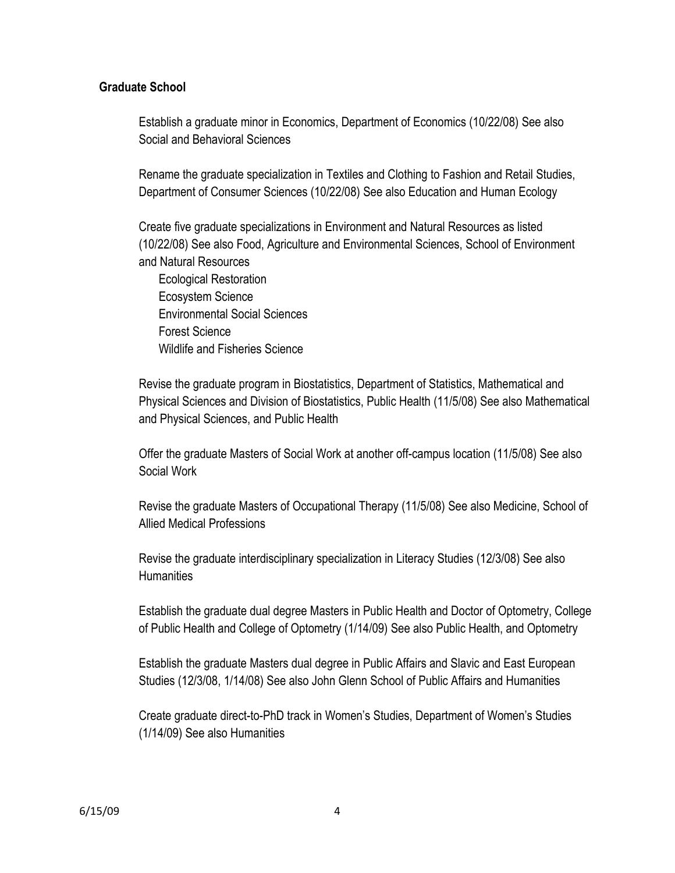### **Graduate School**

Establish a graduate minor in Economics, Department of Economics (10/22/08) See also Social and Behavioral Sciences

Rename the graduate specialization in Textiles and Clothing to Fashion and Retail Studies, Department of Consumer Sciences (10/22/08) See also Education and Human Ecology

Create five graduate specializations in Environment and Natural Resources as listed (10/22/08) See also Food, Agriculture and Environmental Sciences, School of Environment and Natural Resources

Ecological Restoration Ecosystem Science Environmental Social Sciences Forest Science Wildlife and Fisheries Science

Revise the graduate program in Biostatistics, Department of Statistics, Mathematical and Physical Sciences and Division of Biostatistics, Public Health (11/5/08) See also Mathematical and Physical Sciences, and Public Health

Offer the graduate Masters of Social Work at another off-campus location (11/5/08) See also Social Work

Revise the graduate Masters of Occupational Therapy (11/5/08) See also Medicine, School of Allied Medical Professions

Revise the graduate interdisciplinary specialization in Literacy Studies (12/3/08) See also **Humanities** 

Establish the graduate dual degree Masters in Public Health and Doctor of Optometry, College of Public Health and College of Optometry (1/14/09) See also Public Health, and Optometry

Establish the graduate Masters dual degree in Public Affairs and Slavic and East European Studies (12/3/08, 1/14/08) See also John Glenn School of Public Affairs and Humanities

Create graduate direct-to-PhD track in Women's Studies, Department of Women's Studies (1/14/09) See also Humanities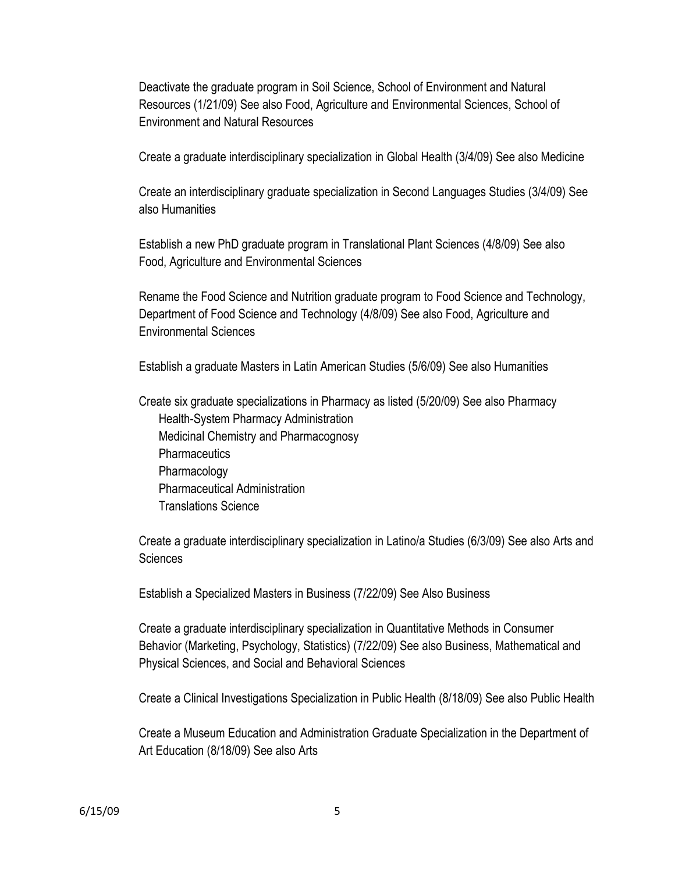Deactivate the graduate program in Soil Science, School of Environment and Natural Resources (1/21/09) See also Food, Agriculture and Environmental Sciences, School of Environment and Natural Resources

Create a graduate interdisciplinary specialization in Global Health (3/4/09) See also Medicine

Create an interdisciplinary graduate specialization in Second Languages Studies (3/4/09) See also Humanities

Establish a new PhD graduate program in Translational Plant Sciences (4/8/09) See also Food, Agriculture and Environmental Sciences

Rename the Food Science and Nutrition graduate program to Food Science and Technology, Department of Food Science and Technology (4/8/09) See also Food, Agriculture and Environmental Sciences

Establish a graduate Masters in Latin American Studies (5/6/09) See also Humanities

Create six graduate specializations in Pharmacy as listed (5/20/09) See also Pharmacy Health-System Pharmacy Administration Medicinal Chemistry and Pharmacognosy **Pharmaceutics** Pharmacology Pharmaceutical Administration Translations Science

Create a graduate interdisciplinary specialization in Latino/a Studies (6/3/09) See also Arts and **Sciences** 

Establish a Specialized Masters in Business (7/22/09) See Also Business

Create a graduate interdisciplinary specialization in Quantitative Methods in Consumer Behavior (Marketing, Psychology, Statistics) (7/22/09) See also Business, Mathematical and Physical Sciences, and Social and Behavioral Sciences

Create a Clinical Investigations Specialization in Public Health (8/18/09) See also Public Health

Create a Museum Education and Administration Graduate Specialization in the Department of Art Education (8/18/09) See also Arts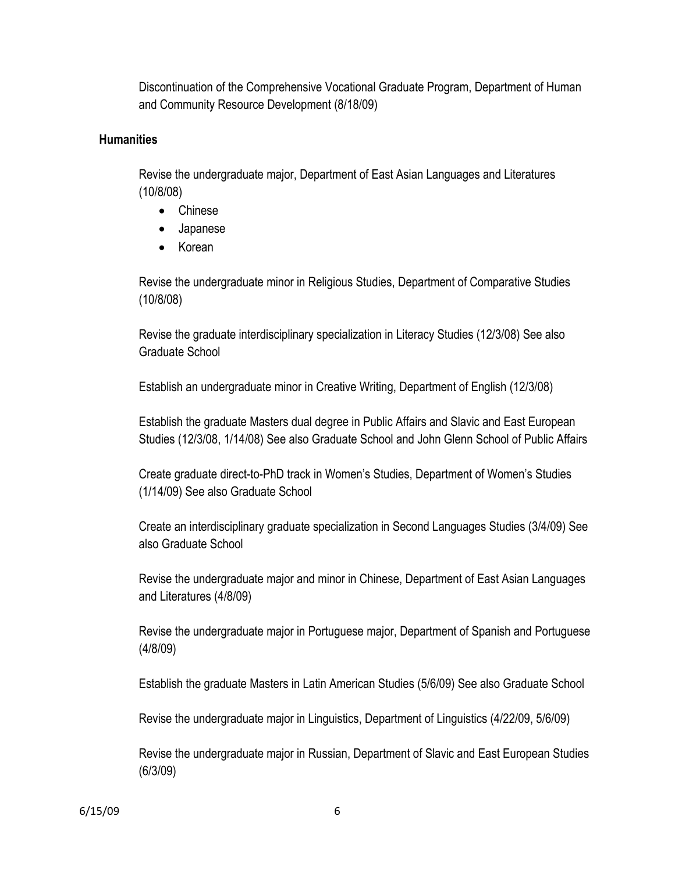Discontinuation of the Comprehensive Vocational Graduate Program, Department of Human and Community Resource Development (8/18/09)

# **Humanities**

Revise the undergraduate major, Department of East Asian Languages and Literatures (10/8/08)

- Chinese
- Japanese
- Korean

Revise the undergraduate minor in Religious Studies, Department of Comparative Studies (10/8/08)

Revise the graduate interdisciplinary specialization in Literacy Studies (12/3/08) See also Graduate School

Establish an undergraduate minor in Creative Writing, Department of English (12/3/08)

Establish the graduate Masters dual degree in Public Affairs and Slavic and East European Studies (12/3/08, 1/14/08) See also Graduate School and John Glenn School of Public Affairs

Create graduate direct-to-PhD track in Women's Studies, Department of Women's Studies (1/14/09) See also Graduate School

Create an interdisciplinary graduate specialization in Second Languages Studies (3/4/09) See also Graduate School

Revise the undergraduate major and minor in Chinese, Department of East Asian Languages and Literatures (4/8/09)

Revise the undergraduate major in Portuguese major, Department of Spanish and Portuguese (4/8/09)

Establish the graduate Masters in Latin American Studies (5/6/09) See also Graduate School

Revise the undergraduate major in Linguistics, Department of Linguistics (4/22/09, 5/6/09)

Revise the undergraduate major in Russian, Department of Slavic and East European Studies (6/3/09)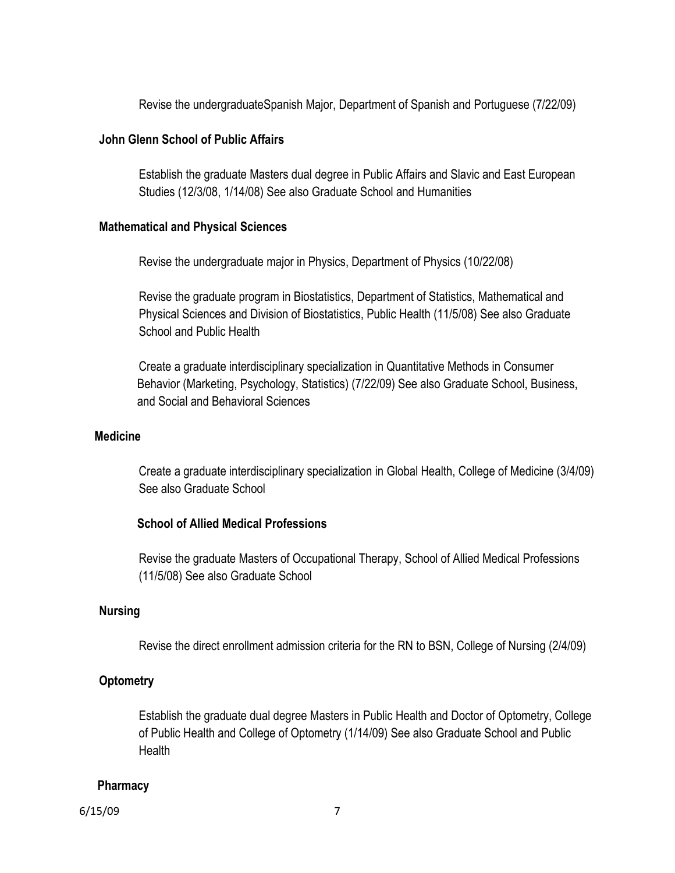Revise the undergraduateSpanish Major, Department of Spanish and Portuguese (7/22/09)

#### **John Glenn School of Public Affairs**

Establish the graduate Masters dual degree in Public Affairs and Slavic and East European Studies (12/3/08, 1/14/08) See also Graduate School and Humanities

#### **Mathematical and Physical Sciences**

Revise the undergraduate major in Physics, Department of Physics (10/22/08)

Revise the graduate program in Biostatistics, Department of Statistics, Mathematical and Physical Sciences and Division of Biostatistics, Public Health (11/5/08) See also Graduate School and Public Health

Create a graduate interdisciplinary specialization in Quantitative Methods in Consumer Behavior (Marketing, Psychology, Statistics) (7/22/09) See also Graduate School, Business, and Social and Behavioral Sciences

#### **Medicine**

Create a graduate interdisciplinary specialization in Global Health, College of Medicine (3/4/09) See also Graduate School

# **School of Allied Medical Professions**

Revise the graduate Masters of Occupational Therapy, School of Allied Medical Professions (11/5/08) See also Graduate School

#### **Nursing**

Revise the direct enrollment admission criteria for the RN to BSN, College of Nursing (2/4/09)

# **Optometry**

Establish the graduate dual degree Masters in Public Health and Doctor of Optometry, College of Public Health and College of Optometry (1/14/09) See also Graduate School and Public **Health** 

#### **Pharmacy**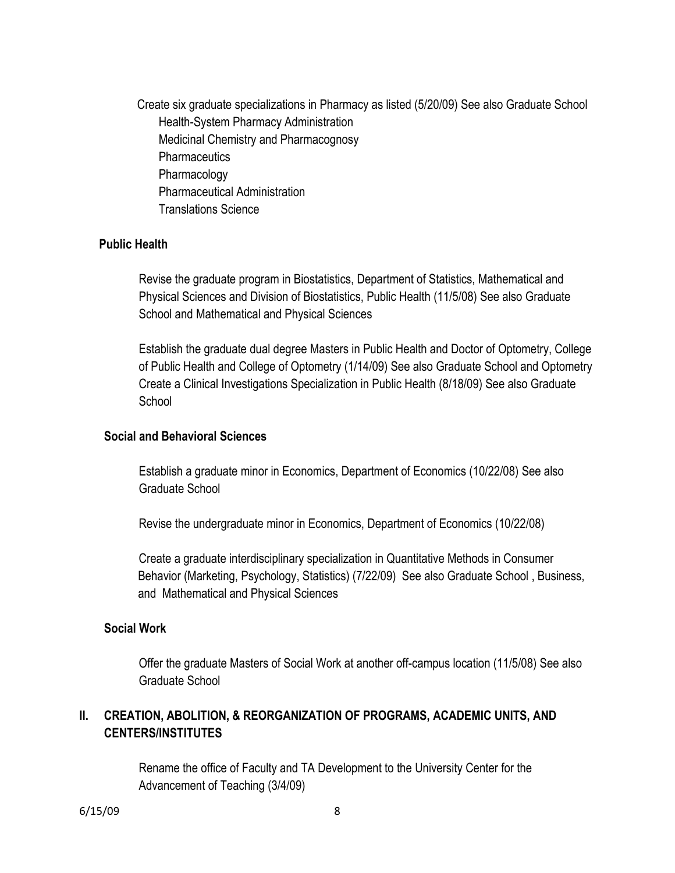Create six graduate specializations in Pharmacy as listed (5/20/09) See also Graduate School Health-System Pharmacy Administration Medicinal Chemistry and Pharmacognosy **Pharmaceutics** Pharmacology Pharmaceutical Administration Translations Science

### **Public Health**

Revise the graduate program in Biostatistics, Department of Statistics, Mathematical and Physical Sciences and Division of Biostatistics, Public Health (11/5/08) See also Graduate School and Mathematical and Physical Sciences

Establish the graduate dual degree Masters in Public Health and Doctor of Optometry, College of Public Health and College of Optometry (1/14/09) See also Graduate School and Optometry Create a Clinical Investigations Specialization in Public Health (8/18/09) See also Graduate **School** 

#### **Social and Behavioral Sciences**

Establish a graduate minor in Economics, Department of Economics (10/22/08) See also Graduate School

Revise the undergraduate minor in Economics, Department of Economics (10/22/08)

Create a graduate interdisciplinary specialization in Quantitative Methods in Consumer Behavior (Marketing, Psychology, Statistics) (7/22/09) See also Graduate School , Business, and Mathematical and Physical Sciences

#### **Social Work**

Offer the graduate Masters of Social Work at another off-campus location (11/5/08) See also Graduate School

# **II. CREATION, ABOLITION, & REORGANIZATION OF PROGRAMS, ACADEMIC UNITS, AND CENTERS/INSTITUTES**

Rename the office of Faculty and TA Development to the University Center for the Advancement of Teaching (3/4/09)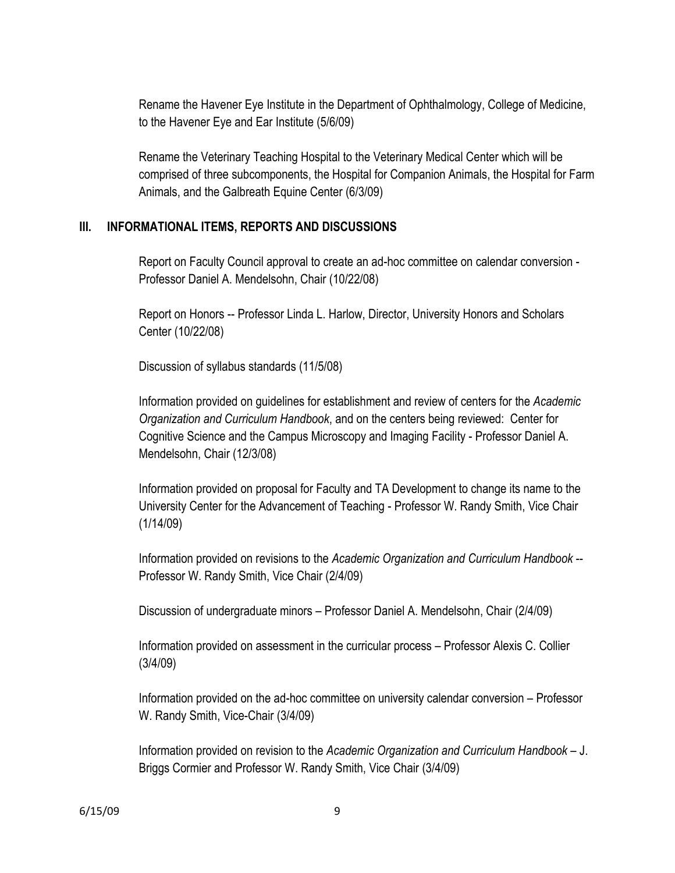Rename the Havener Eye Institute in the Department of Ophthalmology, College of Medicine, to the Havener Eye and Ear Institute (5/6/09)

Rename the Veterinary Teaching Hospital to the Veterinary Medical Center which will be comprised of three subcomponents, the Hospital for Companion Animals, the Hospital for Farm Animals, and the Galbreath Equine Center (6/3/09)

# **III. INFORMATIONAL ITEMS, REPORTS AND DISCUSSIONS**

Report on Faculty Council approval to create an ad-hoc committee on calendar conversion - Professor Daniel A. Mendelsohn, Chair (10/22/08)

Report on Honors -- Professor Linda L. Harlow, Director, University Honors and Scholars Center (10/22/08)

Discussion of syllabus standards (11/5/08)

Information provided on guidelines for establishment and review of centers for the *Academic Organization and Curriculum Handbook*, and on the centers being reviewed: Center for Cognitive Science and the Campus Microscopy and Imaging Facility - Professor Daniel A. Mendelsohn, Chair (12/3/08)

Information provided on proposal for Faculty and TA Development to change its name to the University Center for the Advancement of Teaching - Professor W. Randy Smith, Vice Chair (1/14/09)

Information provided on revisions to the *Academic Organization and Curriculum Handbook* -- Professor W. Randy Smith, Vice Chair (2/4/09)

Discussion of undergraduate minors – Professor Daniel A. Mendelsohn, Chair (2/4/09)

Information provided on assessment in the curricular process – Professor Alexis C. Collier (3/4/09)

Information provided on the ad-hoc committee on university calendar conversion – Professor W. Randy Smith, Vice-Chair (3/4/09)

Information provided on revision to the *Academic Organization and Curriculum Handbook* – J. Briggs Cormier and Professor W. Randy Smith, Vice Chair (3/4/09)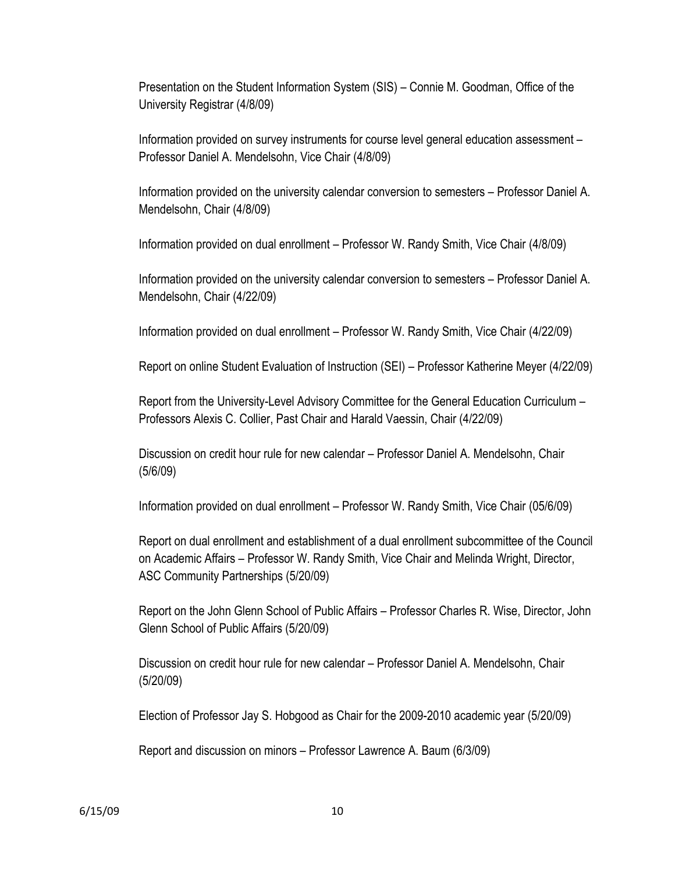Presentation on the Student Information System (SIS) – Connie M. Goodman, Office of the University Registrar (4/8/09)

Information provided on survey instruments for course level general education assessment – Professor Daniel A. Mendelsohn, Vice Chair (4/8/09)

Information provided on the university calendar conversion to semesters – Professor Daniel A. Mendelsohn, Chair (4/8/09)

Information provided on dual enrollment – Professor W. Randy Smith, Vice Chair (4/8/09)

Information provided on the university calendar conversion to semesters – Professor Daniel A. Mendelsohn, Chair (4/22/09)

Information provided on dual enrollment – Professor W. Randy Smith, Vice Chair (4/22/09)

Report on online Student Evaluation of Instruction (SEI) – Professor Katherine Meyer (4/22/09)

Report from the University-Level Advisory Committee for the General Education Curriculum – Professors Alexis C. Collier, Past Chair and Harald Vaessin, Chair (4/22/09)

Discussion on credit hour rule for new calendar – Professor Daniel A. Mendelsohn, Chair (5/6/09)

Information provided on dual enrollment – Professor W. Randy Smith, Vice Chair (05/6/09)

Report on dual enrollment and establishment of a dual enrollment subcommittee of the Council on Academic Affairs – Professor W. Randy Smith, Vice Chair and Melinda Wright, Director, ASC Community Partnerships (5/20/09)

Report on the John Glenn School of Public Affairs – Professor Charles R. Wise, Director, John Glenn School of Public Affairs (5/20/09)

Discussion on credit hour rule for new calendar – Professor Daniel A. Mendelsohn, Chair (5/20/09)

Election of Professor Jay S. Hobgood as Chair for the 2009-2010 academic year (5/20/09)

Report and discussion on minors – Professor Lawrence A. Baum (6/3/09)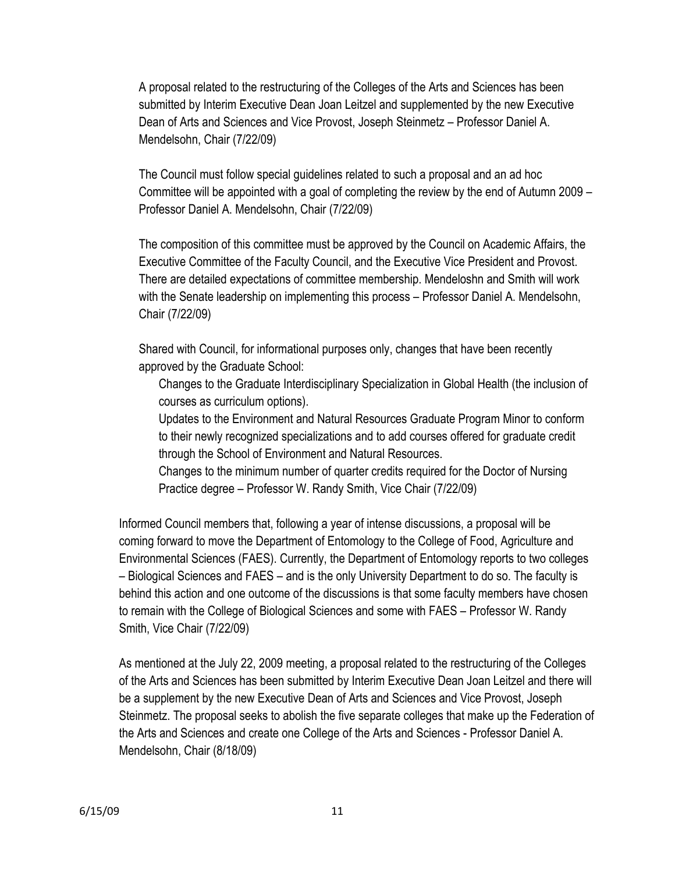A proposal related to the restructuring of the Colleges of the Arts and Sciences has been submitted by Interim Executive Dean Joan Leitzel and supplemented by the new Executive Dean of Arts and Sciences and Vice Provost, Joseph Steinmetz – Professor Daniel A. Mendelsohn, Chair (7/22/09)

The Council must follow special guidelines related to such a proposal and an ad hoc Committee will be appointed with a goal of completing the review by the end of Autumn 2009 – Professor Daniel A. Mendelsohn, Chair (7/22/09)

The composition of this committee must be approved by the Council on Academic Affairs, the Executive Committee of the Faculty Council, and the Executive Vice President and Provost. There are detailed expectations of committee membership. Mendeloshn and Smith will work with the Senate leadership on implementing this process – Professor Daniel A. Mendelsohn, Chair (7/22/09)

Shared with Council, for informational purposes only, changes that have been recently approved by the Graduate School:

Changes to the Graduate Interdisciplinary Specialization in Global Health (the inclusion of courses as curriculum options).

Updates to the Environment and Natural Resources Graduate Program Minor to conform to their newly recognized specializations and to add courses offered for graduate credit through the School of Environment and Natural Resources.

Changes to the minimum number of quarter credits required for the Doctor of Nursing Practice degree – Professor W. Randy Smith, Vice Chair (7/22/09)

Informed Council members that, following a year of intense discussions, a proposal will be coming forward to move the Department of Entomology to the College of Food, Agriculture and Environmental Sciences (FAES). Currently, the Department of Entomology reports to two colleges – Biological Sciences and FAES – and is the only University Department to do so. The faculty is behind this action and one outcome of the discussions is that some faculty members have chosen to remain with the College of Biological Sciences and some with FAES – Professor W. Randy Smith, Vice Chair (7/22/09)

As mentioned at the July 22, 2009 meeting, a proposal related to the restructuring of the Colleges of the Arts and Sciences has been submitted by Interim Executive Dean Joan Leitzel and there will be a supplement by the new Executive Dean of Arts and Sciences and Vice Provost, Joseph Steinmetz. The proposal seeks to abolish the five separate colleges that make up the Federation of the Arts and Sciences and create one College of the Arts and Sciences - Professor Daniel A. Mendelsohn, Chair (8/18/09)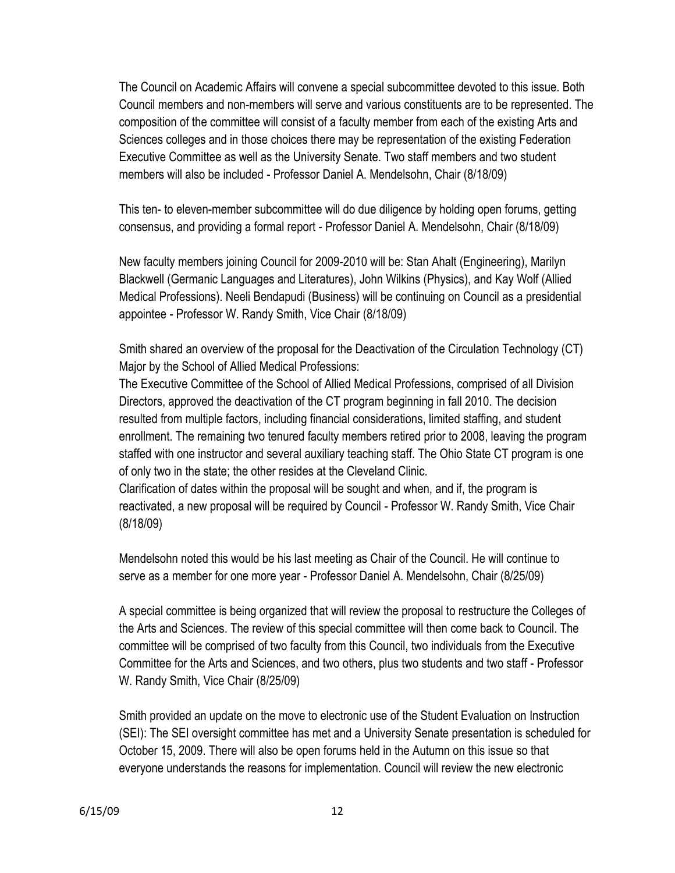The Council on Academic Affairs will convene a special subcommittee devoted to this issue. Both Council members and non-members will serve and various constituents are to be represented. The composition of the committee will consist of a faculty member from each of the existing Arts and Sciences colleges and in those choices there may be representation of the existing Federation Executive Committee as well as the University Senate. Two staff members and two student members will also be included - Professor Daniel A. Mendelsohn, Chair (8/18/09)

This ten- to eleven-member subcommittee will do due diligence by holding open forums, getting consensus, and providing a formal report - Professor Daniel A. Mendelsohn, Chair (8/18/09)

New faculty members joining Council for 2009-2010 will be: Stan Ahalt (Engineering), Marilyn Blackwell (Germanic Languages and Literatures), John Wilkins (Physics), and Kay Wolf (Allied Medical Professions). Neeli Bendapudi (Business) will be continuing on Council as a presidential appointee - Professor W. Randy Smith, Vice Chair (8/18/09)

Smith shared an overview of the proposal for the Deactivation of the Circulation Technology (CT) Major by the School of Allied Medical Professions:

The Executive Committee of the School of Allied Medical Professions, comprised of all Division Directors, approved the deactivation of the CT program beginning in fall 2010. The decision resulted from multiple factors, including financial considerations, limited staffing, and student enrollment. The remaining two tenured faculty members retired prior to 2008, leaving the program staffed with one instructor and several auxiliary teaching staff. The Ohio State CT program is one of only two in the state; the other resides at the Cleveland Clinic.

Clarification of dates within the proposal will be sought and when, and if, the program is reactivated, a new proposal will be required by Council - Professor W. Randy Smith, Vice Chair (8/18/09)

Mendelsohn noted this would be his last meeting as Chair of the Council. He will continue to serve as a member for one more year - Professor Daniel A. Mendelsohn, Chair (8/25/09)

A special committee is being organized that will review the proposal to restructure the Colleges of the Arts and Sciences. The review of this special committee will then come back to Council. The committee will be comprised of two faculty from this Council, two individuals from the Executive Committee for the Arts and Sciences, and two others, plus two students and two staff - Professor W. Randy Smith, Vice Chair (8/25/09)

Smith provided an update on the move to electronic use of the Student Evaluation on Instruction (SEI): The SEI oversight committee has met and a University Senate presentation is scheduled for October 15, 2009. There will also be open forums held in the Autumn on this issue so that everyone understands the reasons for implementation. Council will review the new electronic